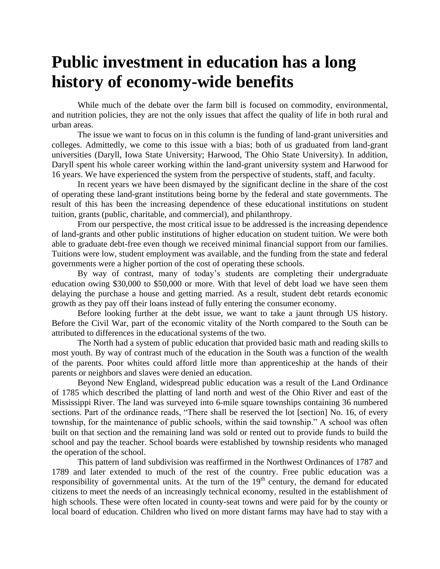## **Public investment in education has a long history of economy-wide benefits**

While much of the debate over the farm bill is focused on commodity, environmental, and nutrition policies, they are not the only issues that affect the quality of life in both rural and urban areas.

The issue we want to focus on in this column is the funding of land-grant universities and colleges. Admittedly, we come to this issue with a bias; both of us graduated from land-grant universities (Daryll, Iowa State University; Harwood, The Ohio State University). In addition, Daryll spent his whole career working within the land-grant university system and Harwood for 16 years. We have experienced the system from the perspective of students, staff, and faculty.

In recent years we have been dismayed by the significant decline in the share of the cost of operating these land-grant institutions being borne by the federal and state governments. The result of this has been the increasing dependence of these educational institutions on student tuition, grants (public, charitable, and commercial), and philanthropy.

From our perspective, the most critical issue to be addressed is the increasing dependence of land-grants and other public institutions of higher education on student tuition. We were both able to graduate debt-free even though we received minimal financial support from our families. Tuitions were low, student employment was available, and the funding from the state and federal governments were a higher portion of the cost of operating these schools.

By way of contrast, many of today's students are completing their undergraduate education owing \$30,000 to \$50,000 or more. With that level of debt load we have seen them delaying the purchase a house and getting married. As a result, student debt retards economic growth as they pay off their loans instead of fully entering the consumer economy.

Before looking further at the debt issue, we want to take a jaunt through US history. Before the Civil War, part of the economic vitality of the North compared to the South can be attributed to differences in the educational systems of the two.

The North had a system of public education that provided basic math and reading skills to most youth. By way of contrast much of the education in the South was a function of the wealth of the parents. Poor whites could afford little more than apprenticeship at the hands of their parents or neighbors and slaves were denied an education.

Beyond New England, widespread public education was a result of the Land Ordinance of 1785 which described the platting of land north and west of the Ohio River and east of the Mississippi River. The land was surveyed into 6-mile square townships containing 36 numbered sections. Part of the ordinance reads, "There shall be reserved the lot [section] No. 16, of every township, for the maintenance of public schools, within the said township." A school was often built on that section and the remaining land was sold or rented out to provide funds to build the school and pay the teacher. School boards were established by township residents who managed the operation of the school.

This pattern of land subdivision was reaffirmed in the Northwest Ordinances of 1787 and 1789 and later extended to much of the rest of the country. Free public education was a responsibility of governmental units. At the turn of the  $19<sup>th</sup>$  century, the demand for educated citizens to meet the needs of an increasingly technical economy, resulted in the establishment of high schools. These were often located in county-seat towns and were paid for by the county or local board of education. Children who lived on more distant farms may have had to stay with a